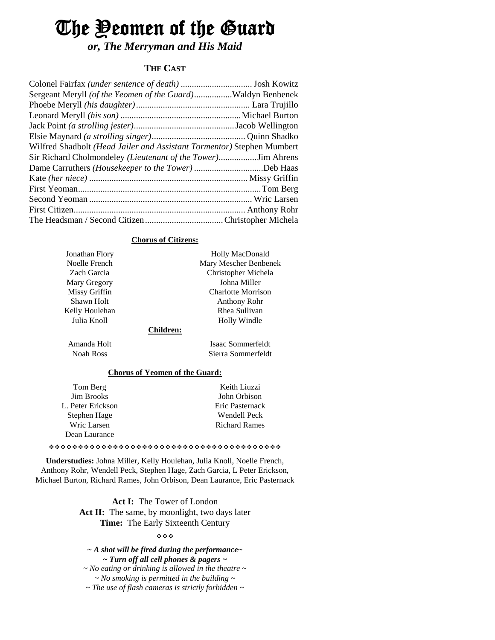# The Yeomen of the Guard

*or, The Merryman and His Maid*

# **THE CAST**

| Sergeant Meryll (of the Yeomen of the Guard)Waldyn Benbenek            |  |
|------------------------------------------------------------------------|--|
|                                                                        |  |
|                                                                        |  |
|                                                                        |  |
|                                                                        |  |
| Wilfred Shadbolt (Head Jailer and Assistant Tormentor) Stephen Mumbert |  |
|                                                                        |  |
| Dame Carruthers (Housekeeper to the Tower) Deb Haas                    |  |
|                                                                        |  |
|                                                                        |  |
|                                                                        |  |
|                                                                        |  |
|                                                                        |  |

#### **Chorus of Citizens:**

| Jonathan Flory   | <b>Holly MacDonald</b>    |
|------------------|---------------------------|
| Noelle French    | Mary Mescher Benbenek     |
| Zach Garcia      | Christopher Michela       |
| Mary Gregory     | Johna Miller              |
| Missy Griffin    | <b>Charlotte Morrison</b> |
| Shawn Holt       | Anthony Rohr              |
| Kelly Houlehan   | Rhea Sullivan             |
| Julia Knoll      | Holly Windle              |
| <b>Children:</b> |                           |
| Amanda Holt      | Isaac Sommerfeldt         |
| Noah Ross        | Sierra Sommerfeldt        |
|                  |                           |

## **Chorus of Yeomen of the Guard:**

| Tom Berg          | Keith Liuzzi         |
|-------------------|----------------------|
| <b>Jim Brooks</b> | John Orbison         |
| L. Peter Erickson | Eric Pasternack      |
| Stephen Hage      | Wendell Peck         |
| Wric Larsen       | <b>Richard Rames</b> |
| Dean Laurance     |                      |

#### 

**Understudies:** Johna Miller, Kelly Houlehan, Julia Knoll, Noelle French, Anthony Rohr, Wendell Peck, Stephen Hage, Zach Garcia, L Peter Erickson, Michael Burton, Richard Rames, John Orbison, Dean Laurance, Eric Pasternack

> **Act I:** The Tower of London Act II: The same, by moonlight, two days later **Time:** The Early Sixteenth Century

#### \*\*\*

*~ A shot will be fired during the performance~ ~ Turn off all cell phones & pagers ~*

*~ No eating or drinking is allowed in the theatre ~ ~ No smoking is permitted in the building ~ ~ The use of flash cameras is strictly forbidden ~*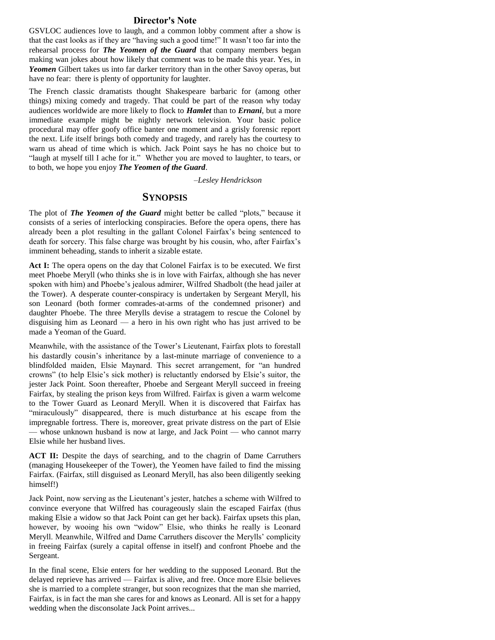#### **Director's Note**

GSVLOC audiences love to laugh, and a common lobby comment after a show is that the cast looks as if they are "having such a good time!" It wasn't too far into the rehearsal process for *The Yeomen of the Guard* that company members began making wan jokes about how likely that comment was to be made this year. Yes, in *Yeomen* Gilbert takes us into far darker territory than in the other Savoy operas, but have no fear: there is plenty of opportunity for laughter.

The French classic dramatists thought Shakespeare barbaric for (among other things) mixing comedy and tragedy. That could be part of the reason why today audiences worldwide are more likely to flock to *Hamlet* than to *Ernani*, but a more immediate example might be nightly network television. Your basic police procedural may offer goofy office banter one moment and a grisly forensic report the next. Life itself brings both comedy and tragedy, and rarely has the courtesy to warn us ahead of time which is which. Jack Point says he has no choice but to "laugh at myself till I ache for it." Whether you are moved to laughter, to tears, or to both, we hope you enjoy *The Yeomen of the Guard*.

*–Lesley Hendrickson*

# **SYNOPSIS**

The plot of *The Yeomen of the Guard* might better be called "plots," because it consists of a series of interlocking conspiracies. Before the opera opens, there has already been a plot resulting in the gallant Colonel Fairfax's being sentenced to death for sorcery. This false charge was brought by his cousin, who, after Fairfax's imminent beheading, stands to inherit a sizable estate.

Act I: The opera opens on the day that Colonel Fairfax is to be executed. We first meet Phoebe Meryll (who thinks she is in love with Fairfax, although she has never spoken with him) and Phoebe's jealous admirer, Wilfred Shadbolt (the head jailer at the Tower). A desperate counter-conspiracy is undertaken by Sergeant Meryll, his son Leonard (both former comrades-at-arms of the condemned prisoner) and daughter Phoebe. The three Merylls devise a stratagem to rescue the Colonel by disguising him as Leonard — a hero in his own right who has just arrived to be made a Yeoman of the Guard.

Meanwhile, with the assistance of the Tower's Lieutenant, Fairfax plots to forestall his dastardly cousin's inheritance by a last-minute marriage of convenience to a blindfolded maiden, Elsie Maynard. This secret arrangement, for "an hundred crowns" (to help Elsie's sick mother) is reluctantly endorsed by Elsie's suitor, the jester Jack Point. Soon thereafter, Phoebe and Sergeant Meryll succeed in freeing Fairfax, by stealing the prison keys from Wilfred. Fairfax is given a warm welcome to the Tower Guard as Leonard Meryll. When it is discovered that Fairfax has "miraculously" disappeared, there is much disturbance at his escape from the impregnable fortress. There is, moreover, great private distress on the part of Elsie — whose unknown husband is now at large, and Jack Point — who cannot marry Elsie while her husband lives.

**ACT II:** Despite the days of searching, and to the chagrin of Dame Carruthers (managing Housekeeper of the Tower), the Yeomen have failed to find the missing Fairfax. (Fairfax, still disguised as Leonard Meryll, has also been diligently seeking himself!)

Jack Point, now serving as the Lieutenant's jester, hatches a scheme with Wilfred to convince everyone that Wilfred has courageously slain the escaped Fairfax (thus making Elsie a widow so that Jack Point can get her back). Fairfax upsets this plan, however, by wooing his own "widow" Elsie, who thinks he really is Leonard Meryll. Meanwhile, Wilfred and Dame Carruthers discover the Merylls' complicity in freeing Fairfax (surely a capital offense in itself) and confront Phoebe and the Sergeant.

In the final scene, Elsie enters for her wedding to the supposed Leonard. But the delayed reprieve has arrived — Fairfax is alive, and free. Once more Elsie believes she is married to a complete stranger, but soon recognizes that the man she married, Fairfax, is in fact the man she cares for and knows as Leonard. All is set for a happy wedding when the disconsolate Jack Point arrives...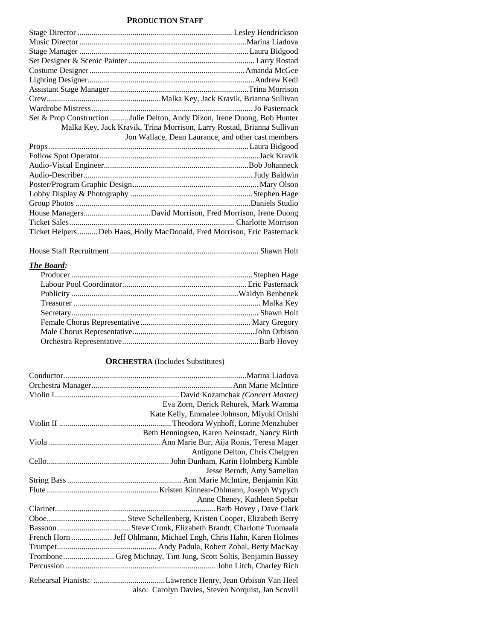# **PRODUCTION STAFF**

| Set & Prop Construction Julie Delton, Andy Dizon, Irene Duong, Bob Hunter |
|---------------------------------------------------------------------------|
| Malka Key, Jack Kravik, Trina Morrison, Larry Rostad, Brianna Sullivan    |
| Jon Wallace, Dean Laurance, and other cast members                        |
|                                                                           |
|                                                                           |
|                                                                           |
|                                                                           |
|                                                                           |
|                                                                           |
|                                                                           |
|                                                                           |
| House ManagersDavid Morrison, Fred Morrison, Irene Duong                  |
|                                                                           |
| Ticket HelpersDeb Haas, Holly MacDonald, Fred Morrison, Eric Pasternack   |

|--|--|--|--|

## *The Board:*

# **ORCHESTRA** (Includes Substitutes)

| Eva Zorn, Derick Rehurek, Mark Wamma                              |
|-------------------------------------------------------------------|
| Kate Kelly, Emmalee Johnson, Miyuki Onishi                        |
|                                                                   |
| Beth Henningsen, Karen Neinstadt, Nancy Birth                     |
|                                                                   |
| Antigone Delton, Chris Chelgren                                   |
|                                                                   |
| Jesse Berndt, Amy Samelian                                        |
|                                                                   |
|                                                                   |
| Anne Cheney, Kathleen Spehar                                      |
|                                                                   |
|                                                                   |
|                                                                   |
| French Horn  Jeff Ohlmann, Michael Engh, Chris Hahn, Karen Holmes |
|                                                                   |
| Trombone Greg Michnay, Tim Jung, Scott Soltis, Benjamin Bussey    |
|                                                                   |
|                                                                   |
| also: Carolyn Davies, Steven Norquist, Jan Scovill                |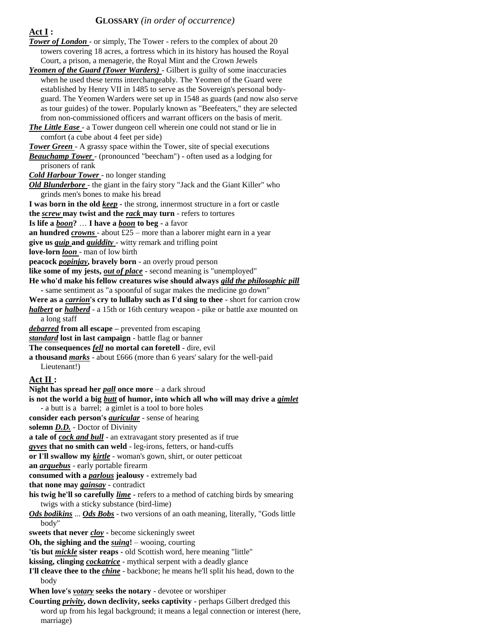### **GLOSSARY** *(in order of occurrence)*

**Act I :** 

*Tower of London* - or simply, The Tower - refers to the complex of about 20 towers covering 18 acres, a fortress which in its history has housed the Royal Court, a prison, a menagerie, the Royal Mint and the Crown Jewels *Yeomen of the Guard (Tower Warders)* - Gilbert is guilty of some inaccuracies when he used these terms interchangeably. The Yeomen of the Guard were

established by Henry VII in 1485 to serve as the Sovereign's personal bodyguard. The Yeomen Warders were set up in 1548 as guards (and now also serve as tour guides) of the tower. Popularly known as "Beefeaters," they are selected from non-commissioned officers and warrant officers on the basis of merit. *The Little Ease* - a Tower dungeon cell wherein one could not stand or lie in

comfort (a cube about 4 feet per side)

*Tower Green* - A grassy space within the Tower, site of special executions *Beauchamp Tower* - (pronounced "beecham") - often used as a lodging for

prisoners of rank

*Cold Harbour Tower* - no longer standing

*Old Blunderbore* - the giant in the fairy story "Jack and the Giant Killer" who grinds men's bones to make his bread

**I was born in the old** *keep* **-** the strong, innermost structure in a fort or castle **the** *screw* **may twist and the** *rack* **may turn** - refers to tortures

**Is life a** *boon***?** … **I have a** *boon* **to beg -** a favor

**an hundred** *crowns* - about £25 – more than a laborer might earn in a year

**give us** *quip* **and** *quiddity* - witty remark and trifling point

**love-lorn** *loon* - man of low birth

**peacock** *popinjay***, bravely born** - an overly proud person

**like some of my jests,** *out of place* - second meaning is "unemployed"

**He who'd make his fellow creatures wise should always** *gild the philosophic pill* 

**-** same sentiment as "a spoonful of sugar makes the medicine go down"

**Were as a** *carrion***'s cry to lullaby such as I'd sing to thee** - short for carrion crow *halbert* **or** *halberd* - a 15th or 16th century weapon - pike or battle axe mounted on a long staff

*debarred* **from all escape –** prevented from escaping

*standard* **lost in last campaign** - battle flag or banner

**The consequences** *fell* **no mortal can foretell** - dire, evil

**a thousand** *marks* - about £666 (more than 6 years' salary for the well-paid

Lieutenant!)

# **Act II :**

**Night has spread her** *pall* **once more** – a dark shroud **is not the world a big** *butt* **of humor, into which all who will may drive a** *gimlet* - a butt is a barrel; a gimlet is a tool to bore holes **consider each person's** *auricular* - sense of hearing **solemn** *D.D.* - Doctor of Divinity **a tale of** *cock and bull* - an extravagant story presented as if true *gyves* **that no smith can weld** - leg-irons, fetters, or hand-cuffs **or I'll swallow my** *kirtle* - woman's gown, shirt, or outer petticoat **an** *arquebus* - early portable firearm **consumed with a** *parlous* **jealousy -** extremely bad **that none may** *gainsay* **-** contradict **his twig he'll so carefully** *lime* - refers to a method of catching birds by smearing twigs with a sticky substance (bird-lime) *Ods bodikins* ... *Ods Bobs* - two versions of an oath meaning, literally, "Gods little body" **sweets that never** *cloy* **-** become sickeningly sweet **Oh, the sighing and the** *suing***!** – wooing, courting **'tis but** *mickle* **sister reaps -** old Scottish word, here meaning "little" **kissing, clinging** *cockatrice* - mythical serpent with a deadly glance **I'll cleave thee to the** *chine* - backbone; he means he'll split his head, down to the body **When love's** *votary* **seeks the notary** - devotee or worshiper **Courting** *privity***, down declivity, seeks captivity** - perhaps Gilbert dredged this word up from his legal background; it means a legal connection or interest (here,

marriage)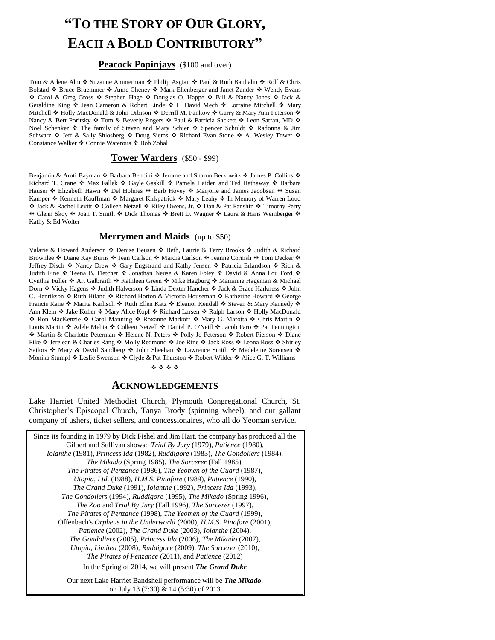# **"TO THE STORY OF OUR GLORY, EACH A BOLD CONTRIBUTORY"**

#### **Peacock Popinjays** (\$100 and over)

Tom & Arlene Alm ❖ Suzanne Ammerman ❖ Philip Asgian ❖ Paul & Ruth Bauhahn ❖ Rolf & Chris Bolstad ❖ Bruce Bruemmer ❖ Anne Cheney ❖ Mark Ellenberger and Janet Zander ❖ Wendy Evans ◆ Carol & Greg Gross ◆ Stephen Hage ◆ Douglas O. Happe ◆ Bill & Nancy Jones ◆ Jack & Geraldine King  $\cdot$  Jean Cameron & Robert Linde  $\cdot$  L. David Mech  $\cdot$  Lorraine Mitchell  $\cdot$  Mary Mitchell  $\cdot$  Holly MacDonald & John Orbison  $\cdot \cdot$  Derrill M. Pankow  $\cdot \cdot$  Garry & Mary Ann Peterson  $\cdot \cdot$ Nancy & Bert Poritsky  $\div$  Tom & Beverly Rogers  $\div$  Paul & Patricia Sackett  $\div$  Leon Satran, MD  $\div$ Noel Schenker  $\cdot$  The family of Steven and Mary Schier  $\cdot$  Spencer Schuldt  $\cdot$  Radonna & Jim Schwarz  $\div$  Jeff & Sally Shlosberg  $\div$  Doug Siems  $\div$  Richard Evan Stone  $\div$  A. Wesley Tower  $\div$ Constance Walker ❖ Connie Waterous ❖ Bob Zobal

#### **Tower Warders** (\$50 - \$99)

Benjamin & Aroti Bayman  $\cdot \cdot$  Barbara Bencini  $\cdot \cdot$  Jerome and Sharon Berkowitz  $\cdot \cdot$  James P. Collins  $\cdot \cdot$ Richard T. Crane  $\cdot$  Max Fallek  $\cdot$  Gayle Gaskill  $\cdot$  Pamela Haiden and Ted Hathaway  $\cdot$  Barbara Hauser ❖ Elizabeth Hawn ❖ Del Holmes ❖ Barb Hovey ❖ Marjorie and James Jacobsen ❖ Susan Kamper ❖ Kenneth Kauffman ❖ Margaret Kirkpatrick ❖ Mary Leahy ❖ In Memory of Warren Loud ◆ Jack & Rachel Levitt ◆ Colleen Netzell ◆ Riley Owens, Jr. ◆ Dan & Pat Panshin ◆ Timothy Perry ◆ Glenn Skoy ◆ Joan T. Smith ◆ Dick Thomas ◆ Brett D. Wagner ◆ Laura & Hans Weinberger ◆ Kathy & Ed Wolter

#### **Merrymen and Maids** (up to \$50)

Valarie & Howard Anderson  $\triangle$  Denise Beusen  $\triangle$  Beth, Laurie & Terry Brooks  $\triangle$  Judith & Richard Brownlee ❖ Diane Kay Burns ❖ Jean Carlson ❖ Marcia Carlson ❖ Jeanne Cornish ❖ Tom Decker ❖ Jeffrey Disch ❖ Nancy Drew ❖ Gary Engstrand and Kathy Jensen ❖ Patricia Erlandson ❖ Rich & Judith Fine ❖ Teena B. Fletcher ❖ Jonathan Neuse & Karen Foley ❖ David & Anna Lou Ford ❖ Cynthia Fuller ❖ Art Galbraith ❖ Kathleen Green ❖ Mike Hagburg ❖ Marianne Hageman & Michael Dorn ❖ Vicky Hagens ❖ Judith Halverson ❖ Linda Dexter Hancher ❖ Jack & Grace Harkness ❖ John C. Henrikson �� Ruth Hiland �� Richard Horton & Victoria Houseman �� Katherine Howard �� George Francis Kane ❖ Marita Karlisch ❖ Ruth Ellen Katz ❖ Eleanor Kendall ❖ Steven & Mary Kennedy ❖ Ann Klein ❖ Jake Koller ❖ Mary Alice Kopf ❖ Richard Larsen ❖ Ralph Larson ❖ Holly MacDonald ◆ Ron MacKenzie ◆ Carol Manning ◆ Roxanne Markoff ◆ Mary G. Marotta ◆ Chris Martin ◆ Louis Martin ❖ Adele Mehta ❖ Colleen Netzell ❖ Daniel P. O'Neill ❖ Jacob Paro ❖ Pat Pennington ◆ Martin & Charlotte Peterman ◆ Helene N. Peters ◆ Polly Jo Peterson ◆ Robert Pierson ◆ Diane Pike ❖ Jerelean & Charles Rang ❖ Molly Redmond ❖ Joe Rine ❖ Jack Ross ❖ Leona Ross ❖ Shirley Sailors  $\cdot$  Mary & David Sandberg  $\cdot$  John Sheehan  $\cdot$  Lawrence Smith  $\cdot$  Madeleine Sorensen  $\cdot$ Monika Stumpf  $\triangleleft$  Leslie Swenson  $\triangleleft$  Clyde & Pat Thurston  $\triangleleft$  Robert Wilder  $\triangleleft$  Alice G. T. Williams

#### \*\*\*\*

# **ACKNOWLEDGEMENTS**

Lake Harriet United Methodist Church, Plymouth Congregational Church, St. Christopher's Episcopal Church, Tanya Brody (spinning wheel), and our gallant company of ushers, ticket sellers, and concessionaires, who all do Yeoman service.

Since its founding in 1979 by Dick Fishel and Jim Hart, the company has produced all the Gilbert and Sullivan shows: *Trial By Jury* (1979), *Patience* (1980), *Iolanthe* (1981), *Princess Ida* (1982), *Ruddigore* (1983), *The Gondoliers* (1984), *The Mikado* (Spring 1985), *The Sorcerer* (Fall 1985), *The Pirates of Penzance* (1986), *The Yeomen of the Guard* (1987), *Utopia, Ltd.* (1988), *H.M.S. Pinafore* (1989), *Patience* (1990), *The Grand Duke* (1991), *Iolanthe* (1992), *Princess Ida* (1993), *The Gondoliers* (1994), *Ruddigore* (1995), *The Mikado* (Spring 1996), *The Zoo* and *Trial By Jury* (Fall 1996), *The Sorcerer* (1997), *The Pirates of Penzance* (1998), *The Yeomen of the Guard* (1999), Offenbach's *Orpheus in the Underworld* (2000), *H.M.S. Pinafore* (2001), *Patience* (2002), *The Grand Duke* (2003), *Iolanthe* (2004), *The Gondoliers* (2005), *Princess Ida* (2006), *The Mikado* (2007), *Utopia, Limited* (2008), *Ruddigore* (2009), *The Sorcerer* (2010), *The Pirates of Penzance* (2011), and *Patience* (2012) In the Spring of 2014, we will present *The Grand Duke* Our next Lake Harriet Bandshell performance will be *The Mikado*,

on July 13 (7:30) & 14 (5:30) of 2013